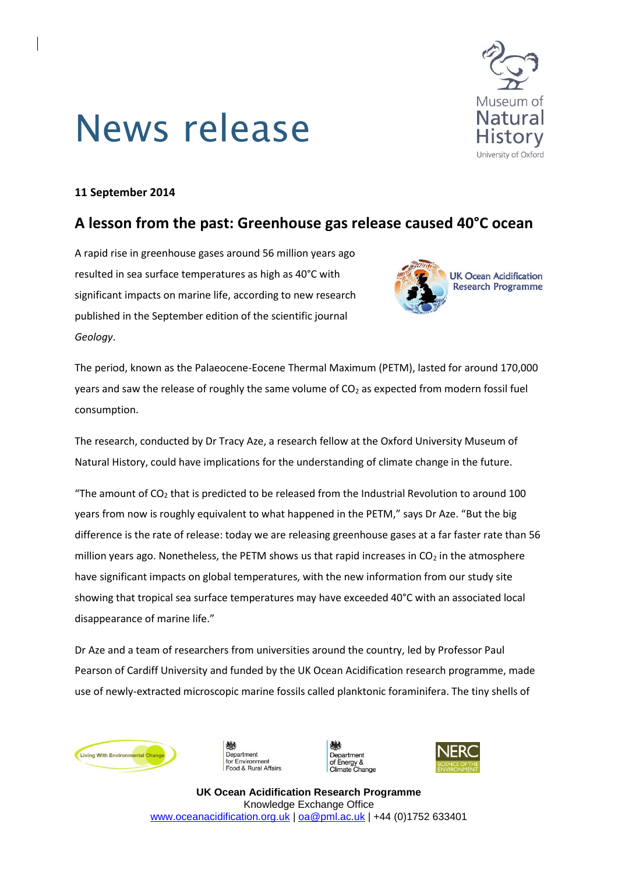# News release



### **11 September 2014**

# **A lesson from the past: Greenhouse gas release caused 40°C ocean**

A rapid rise in greenhouse gases around 56 million years ago resulted in sea surface temperatures as high as 40°C with significant impacts on marine life, according to new research published in the September edition of the scientific journal *Geology*.



The period, known as the Palaeocene-Eocene Thermal Maximum (PETM), lasted for around 170,000 years and saw the release of roughly the same volume of  $CO<sub>2</sub>$  as expected from modern fossil fuel consumption.

The research, conducted by Dr Tracy Aze, a research fellow at the Oxford University Museum of Natural History, could have implications for the understanding of climate change in the future.

"The amount of  $CO<sub>2</sub>$  that is predicted to be released from the Industrial Revolution to around 100 years from now is roughly equivalent to what happened in the PETM," says Dr Aze. "But the big difference is the rate of release: today we are releasing greenhouse gases at a far faster rate than 56 million years ago. Nonetheless, the PETM shows us that rapid increases in  $CO<sub>2</sub>$  in the atmosphere have significant impacts on global temperatures, with the new information from our study site showing that tropical sea surface temperatures may have exceeded 40°C with an associated local disappearance of marine life."

Dr Aze and a team of researchers from universities around the country, led by Professor Paul Pearson of Cardiff University and funded by the UK Ocean Acidification research programme, made use of newly-extracted microscopic marine fossils called planktonic foraminifera. The tiny shells of



Department for Environment od & Rural Affairs epartment Energy &<br>imate Change



**UK Ocean Acidification Research Programme** Knowledge Exchange Office [www.oceanacidification.org.uk](http://www.oceanacidification.org.uk/) [| oa@pml.ac.uk](mailto:oa@pml.ac.uk) | +44 (0)1752 633401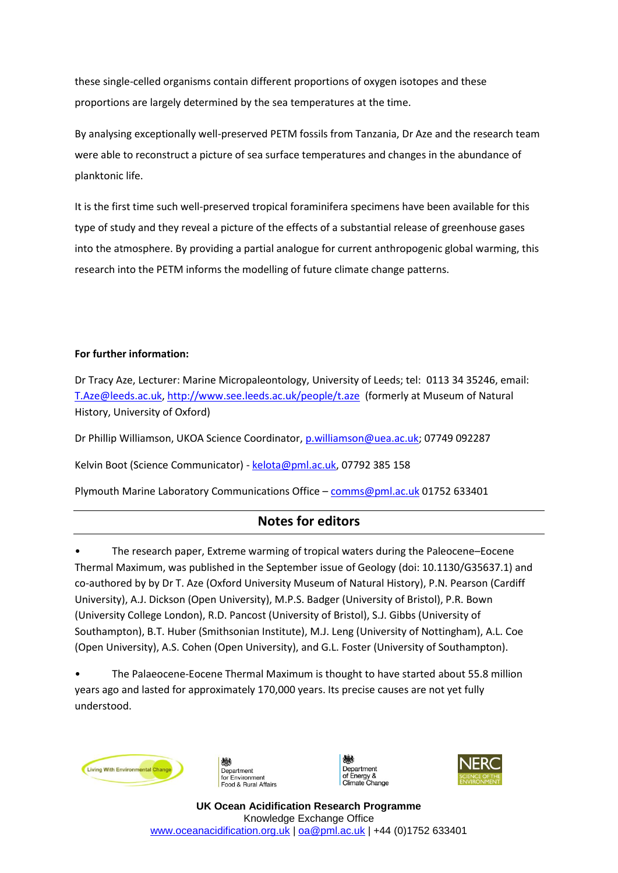these single-celled organisms contain different proportions of oxygen isotopes and these proportions are largely determined by the sea temperatures at the time.

By analysing exceptionally well-preserved PETM fossils from Tanzania, Dr Aze and the research team were able to reconstruct a picture of sea surface temperatures and changes in the abundance of planktonic life.

It is the first time such well-preserved tropical foraminifera specimens have been available for this type of study and they reveal a picture of the effects of a substantial release of greenhouse gases into the atmosphere. By providing a partial analogue for current anthropogenic global warming, this research into the PETM informs the modelling of future climate change patterns.

#### **For further information:**

Dr Tracy Aze, Lecturer: Marine Micropaleontology, University of Leeds; tel: 0113 34 35246, email: [T.Aze@leeds.ac.uk,](mailto:T.Aze@leeds.ac.uk)<http://www.see.leeds.ac.uk/people/t.aze> (formerly at Museum of Natural History, University of Oxford)

Dr Phillip Williamson, UKOA Science Coordinator, [p.williamson@uea.ac.uk;](mailto:p.williamson@uea.ac.uk) 07749 092287

Kelvin Boot (Science Communicator) - [kelota@pml.ac.uk,](mailto:kelota@pml.ac.uk) 07792 385 158

Plymouth Marine Laboratory Communications Office – [comms@pml.ac.uk](mailto:comms@pml.ac.uk) 01752 633401

## **Notes for editors**

• The research paper, Extreme warming of tropical waters during the Paleocene–Eocene Thermal Maximum, was published in the September issue of Geology (doi: 10.1130/G35637.1) and co-authored by by Dr T. Aze (Oxford University Museum of Natural History), P.N. Pearson (Cardiff University), A.J. Dickson (Open University), M.P.S. Badger (University of Bristol), P.R. Bown (University College London), R.D. Pancost (University of Bristol), S.J. Gibbs (University of Southampton), B.T. Huber (Smithsonian Institute), M.J. Leng (University of Nottingham), A.L. Coe (Open University), A.S. Cohen (Open University), and G.L. Foster (University of Southampton).

• The Palaeocene-Eocene Thermal Maximum is thought to have started about 55.8 million years ago and lasted for approximately 170,000 years. Its precise causes are not yet fully understood.









**UK Ocean Acidification Research Programme** Knowledge Exchange Office [www.oceanacidification.org.uk](http://www.oceanacidification.org.uk/) [| oa@pml.ac.uk](mailto:oa@pml.ac.uk) | +44 (0)1752 633401